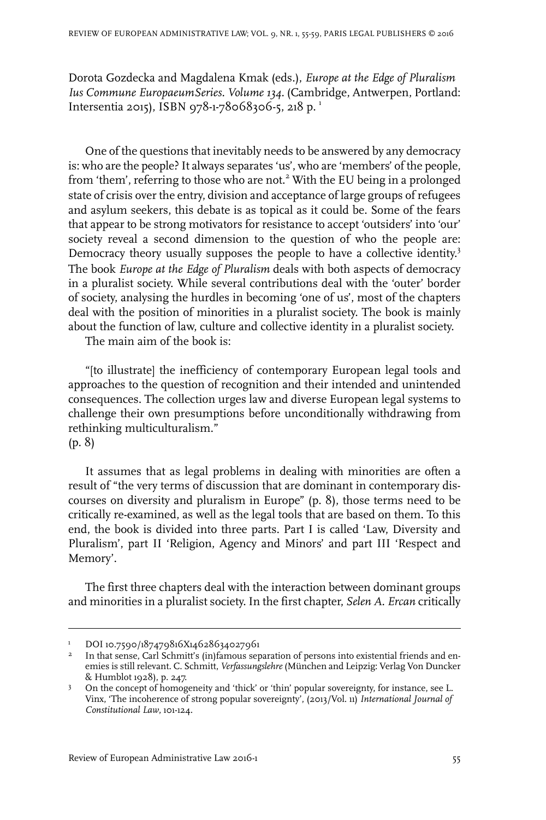Dorota Gozdecka and Magdalena Kmak (eds.), *Europe at the Edge of Pluralism Ius Commune EuropaeumSeries. Volume 134.* (Cambridge, Antwerpen, Portland: Intersentia 2015), ISBN 978-1-78068306-5, 218 p.<sup>1</sup>

One of the questions that inevitably needs to be answered by any democracy is: who are the people? It always separates 'us', who are 'members' of the people, from 'them', referring to those who are not.<sup>2</sup> With the EU being in a prolonged state of crisis over the entry, division and acceptance of large groups of refugees and asylum seekers, this debate is as topical as it could be. Some of the fears that appear to be strong motivators for resistance to accept 'outsiders' into 'our' society reveal a second dimension to the question of who the people are: Democracy theory usually supposes the people to have a collective identity.<sup>3</sup> The book *Europe at the Edge of Pluralism* deals with both aspects of democracy in a pluralist society. While several contributions deal with the 'outer' border of society, analysing the hurdles in becoming 'one of us', most of the chapters deal with the position of minorities in a pluralist society. The book is mainly about the function of law, culture and collective identity in a pluralist society.

The main aim of the book is:

"[to illustrate] the inefficiency of contemporary European legal tools and approaches to the question of recognition and their intended and unintended consequences. The collection urges law and diverse European legal systems to challenge their own presumptions before unconditionally withdrawing from rethinking multiculturalism."

(p. 8)

It assumes that as legal problems in dealing with minorities are often a result of "the very terms of discussion that are dominant in contemporary discourses on diversity and pluralism in Europe" (p. 8), those terms need to be critically re-examined, as well as the legal tools that are based on them. To this end, the book is divided into three parts. Part I is called 'Law, Diversity and Pluralism', part II 'Religion, Agency and Minors' and part III 'Respect and Memory'.

The first three chapters deal with the interaction between dominant groups and minorities in a pluralist society. In the first chapter, *Selen A. Ercan* critically

<sup>&</sup>lt;sup>1</sup> DOI 10.7590/187479816X14628634027961

<sup>&</sup>lt;sup>2</sup> In that sense, Carl Schmitt's (in)famous separation of persons into existential friends and enemies is still relevant. C. Schmitt, *Verfassungslehre* (München and Leipzig: Verlag Von Duncker & Humblot 1928), p. 247.

On the concept of homogeneity and 'thick' or 'thin' popular sovereignty, for instance, see L. Vinx, 'The incoherence of strong popular sovereignty', (2013/Vol. 11) *International Journal of Constitutional Law*, 101-124. 3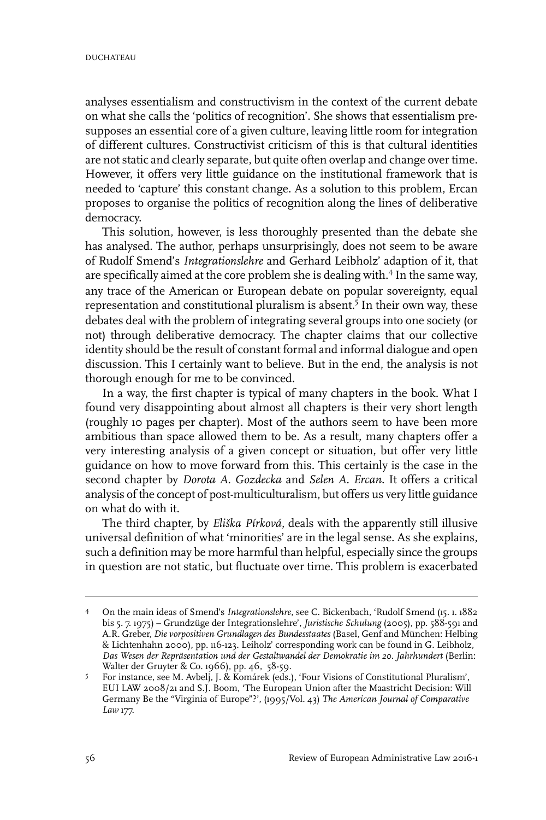analyses essentialism and constructivism in the context of the current debate on what she calls the 'politics of recognition'. She shows that essentialism presupposes an essential core of a given culture, leaving little room for integration of different cultures. Constructivist criticism of this is that cultural identities are not static and clearly separate, but quite often overlap and change over time. However, it offers very little guidance on the institutional framework that is needed to 'capture' this constant change. As a solution to this problem, Ercan proposes to organise the politics of recognition along the lines of deliberative democracy.

This solution, however, is less thoroughly presented than the debate she has analysed. The author, perhaps unsurprisingly, does not seem to be aware of Rudolf Smend's *Integrationslehre* and Gerhard Leibholz' adaption of it, that are specifically aimed at the core problem she is dealing with.<sup>4</sup> In the same way, any trace of the American or European debate on popular sovereignty, equal representation and constitutional pluralism is absent.<sup>5</sup> In their own way, these debates deal with the problem of integrating several groups into one society (or not) through deliberative democracy. The chapter claims that our collective identity should be the result of constant formal and informal dialogue and open discussion. This I certainly want to believe. But in the end, the analysis is not thorough enough for me to be convinced.

In a way, the first chapter is typical of many chapters in the book. What I found very disappointing about almost all chapters is their very short length (roughly 10 pages per chapter). Most of the authors seem to have been more ambitious than space allowed them to be. As a result, many chapters offer a very interesting analysis of a given concept or situation, but offer very little guidance on how to move forward from this. This certainly is the case in the second chapter by *Dorota A. Gozdecka* and *Selen A. Ercan*. It offers a critical analysis of the concept of post-multiculturalism, but offers us very little guidance on what do with it.

The third chapter, by *Eliška Pírková*, deals with the apparently still illusive universal definition of what 'minorities' are in the legal sense. As she explains, such a definition may be more harmful than helpful, especially since the groups in question are not static, but fluctuate over time. This problem is exacerbated

On the main ideas of Smend's *Integrationslehre*, see C. Bickenbach, 'Rudolf Smend (15. 1. 1882 bis 5. 7. 1975) – Grundzüge der Integrationslehre', *Juristische Schulung* (2005), pp. 588-591 and 4 A.R. Greber, *Die vorpositiven Grundlagen des Bundesstaates* (Basel, Genf and München: Helbing & Lichtenhahn 2000), pp. 116-123. Leiholz' corresponding work can be found in G. Leibholz, *Das Wesen der Repräsentation und der Gestaltwandel der Demokratie im 20. Jahrhundert* (Berlin: Walter der Gruyter & Co. 1966), pp. 46, 58-59.

For instance, see M. Avbelj, J. & Komárek (eds.), 'Four Visions of Constitutional Pluralism', 5 EUI LAW 2008/21 and S.J. Boom, 'The European Union after the Maastricht Decision: Will Germany Be the "Virginia of Europe"?', (1995/Vol. 43) *The American Journal of Comparative Law* 177.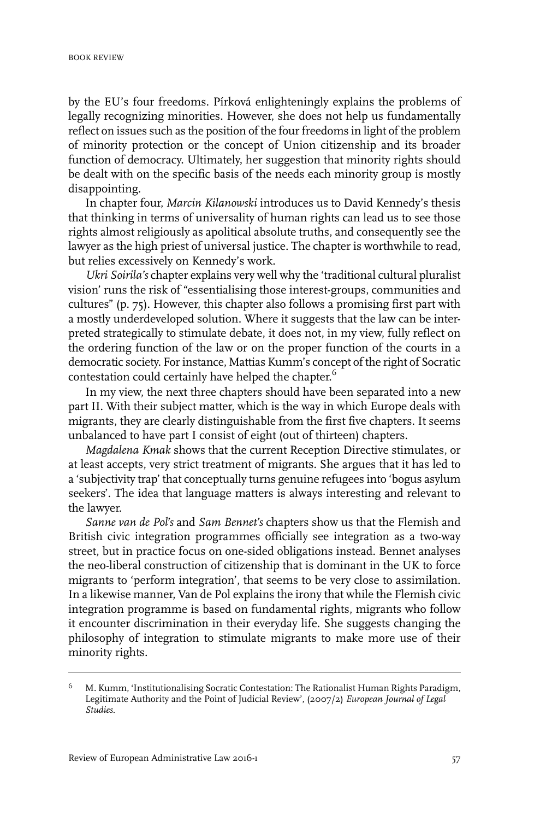by the EU's four freedoms. Pírková enlighteningly explains the problems of legally recognizing minorities. However, she does not help us fundamentally reflect on issues such as the position of the four freedoms in light of the problem of minority protection or the concept of Union citizenship and its broader function of democracy. Ultimately, her suggestion that minority rights should be dealt with on the specific basis of the needs each minority group is mostly disappointing.

In chapter four, *Marcin Kilanowski* introduces us to David Kennedy's thesis that thinking in terms of universality of human rights can lead us to see those rights almost religiously as apolitical absolute truths, and consequently see the lawyer as the high priest of universal justice. The chapter is worthwhile to read, but relies excessively on Kennedy's work.

*Ukri Soirila's* chapter explains very well why the 'traditional cultural pluralist vision' runs the risk of "essentialising those interest-groups, communities and cultures" (p. 75). However, this chapter also follows a promising first part with a mostly underdeveloped solution. Where it suggests that the law can be interpreted strategically to stimulate debate, it does not, in my view, fully reflect on the ordering function of the law or on the proper function of the courts in a democratic society. For instance, Mattias Kumm's concept of the right of Socratic contestation could certainly have helped the chapter. 6

In my view, the next three chapters should have been separated into a new part II. With their subject matter, which is the way in which Europe deals with migrants, they are clearly distinguishable from the first five chapters. It seems unbalanced to have part I consist of eight (out of thirteen) chapters.

*Magdalena Kmak* shows that the current Reception Directive stimulates, or at least accepts, very strict treatment of migrants. She argues that it has led to a 'subjectivity trap' that conceptually turns genuine refugees into 'bogus asylum seekers'. The idea that language matters is always interesting and relevant to the lawyer.

*Sanne van de Pol's* and *Sam Bennet's* chapters show us that the Flemish and British civic integration programmes officially see integration as a two-way street, but in practice focus on one-sided obligations instead. Bennet analyses the neo-liberal construction of citizenship that is dominant in the UK to force migrants to 'perform integration', that seems to be very close to assimilation. In a likewise manner, Van de Pol explains the irony that while the Flemish civic integration programme is based on fundamental rights, migrants who follow it encounter discrimination in their everyday life. She suggests changing the philosophy of integration to stimulate migrants to make more use of their minority rights.

M. Kumm, 'Institutionalising Socratic Contestation: The Rationalist Human Rights Paradigm, Legitimate Authority and the Point of Judicial Review', (2007/2) *European Journal of Legal Studies*. 6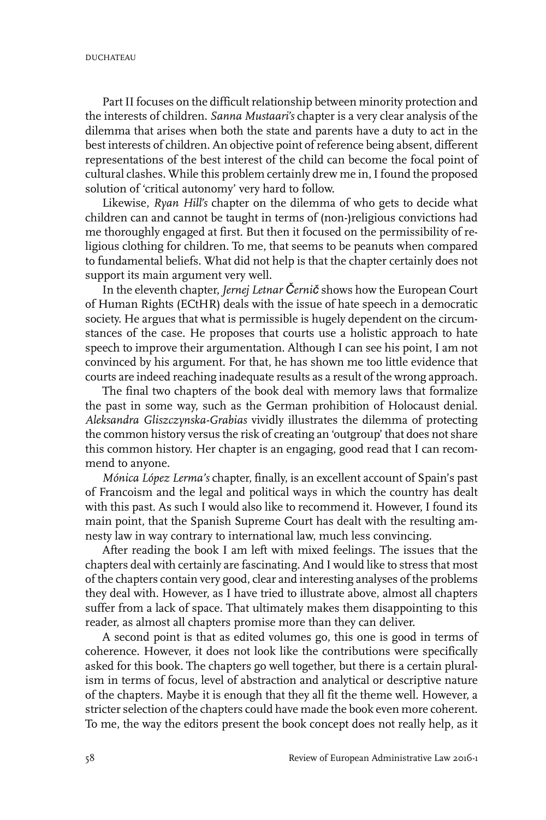Part II focuses on the difficult relationship between minority protection and the interests of children. *Sanna Mustaari's* chapter is a very clear analysis of the dilemma that arises when both the state and parents have a duty to act in the best interests of children. An objective point of reference being absent, different representations of the best interest of the child can become the focal point of cultural clashes. While this problem certainly drew me in, I found the proposed solution of 'critical autonomy' very hard to follow.

Likewise, *Ryan Hill's* chapter on the dilemma of who gets to decide what children can and cannot be taught in terms of (non-)religious convictions had me thoroughly engaged at first. But then it focused on the permissibility of religious clothing for children. To me, that seems to be peanuts when compared to fundamental beliefs. What did not help is that the chapter certainly does not support its main argument very well.

In the eleventh chapter, *Jernej Letnar Černič* shows how the European Court of Human Rights (ECtHR) deals with the issue of hate speech in a democratic society. He argues that what is permissible is hugely dependent on the circumstances of the case. He proposes that courts use a holistic approach to hate speech to improve their argumentation. Although I can see his point, I am not convinced by his argument. For that, he has shown me too little evidence that courts are indeed reaching inadequate results as a result of the wrong approach.

The final two chapters of the book deal with memory laws that formalize the past in some way, such as the German prohibition of Holocaust denial. *Aleksandra Gliszczynska-Grabias* vividly illustrates the dilemma of protecting the common history versus the risk of creating an 'outgroup' that does not share this common history. Her chapter is an engaging, good read that I can recommend to anyone.

*Mónica López Lerma's* chapter, finally, is an excellent account of Spain's past of Francoism and the legal and political ways in which the country has dealt with this past. As such I would also like to recommend it. However, I found its main point, that the Spanish Supreme Court has dealt with the resulting amnesty law in way contrary to international law, much less convincing.

After reading the book I am left with mixed feelings. The issues that the chapters deal with certainly are fascinating. And I would like to stress that most of the chapters contain very good, clear and interesting analyses of the problems they deal with. However, as I have tried to illustrate above, almost all chapters suffer from a lack of space. That ultimately makes them disappointing to this reader, as almost all chapters promise more than they can deliver.

A second point is that as edited volumes go, this one is good in terms of coherence. However, it does not look like the contributions were specifically asked for this book. The chapters go well together, but there is a certain pluralism in terms of focus, level of abstraction and analytical or descriptive nature of the chapters. Maybe it is enough that they all fit the theme well. However, a stricter selection of the chapters could have made the book even more coherent. To me, the way the editors present the book concept does not really help, as it